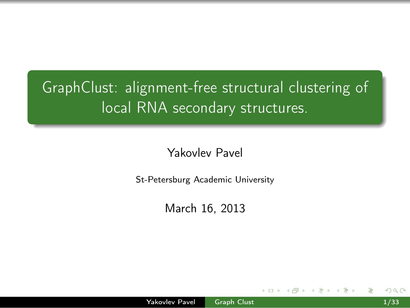# GraphClust: alignment-free structural clustering of local RNA secondary structures.

### Yakovlev Pavel

St-Petersburg Academic University

<span id="page-0-0"></span>March 16, 2013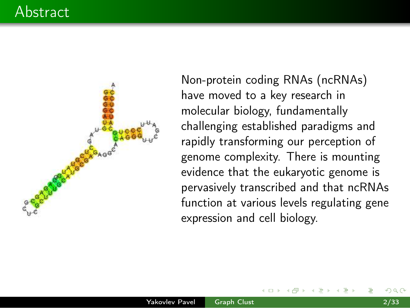# Abstract



Non-protein coding RNAs (ncRNAs) have moved to a key research in molecular biology, fundamentally challenging established paradigms and rapidly transforming our perception of genome complexity. There is mounting evidence that the eukaryotic genome is pervasively transcribed and that ncRNAs function at various levels regulating gene expression and cell biology.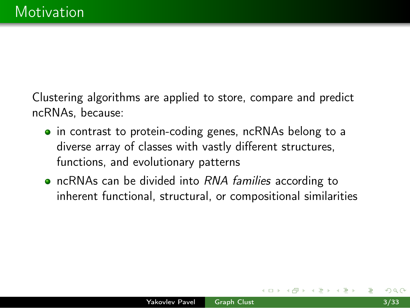Clustering algorithms are applied to store, compare and predict ncRNAs, because:

- in contrast to protein-coding genes, ncRNAs belong to a diverse array of classes with vastly different structures, functions, and evolutionary patterns
- ncRNAs can be divided into RNA families according to inherent functional, structural, or compositional similarities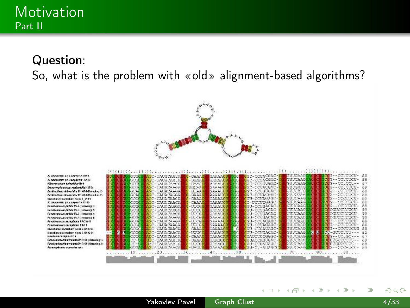#### Question:

So, what is the problem with «old» alignment-based algorithms?



A segurite pa canguine tell. *Konserth zz canonist 1200* Warehouse Adaptivelies Smacrophonogia maternalisticities Bookha Medanitic catalog RK M54-Monolog North chies reference to MAT (Northern Incubed betokendow? 499 A GRANDER TA CARNITIC DTO Penačowovat public M.2-Hornshop to Perventure of the Municipal St. Penadoscous peride like-Homelog is PERMITTEN WAS IN A DOMEST 1 Ревобовных литровка РАСОТОГ Panel encoura caraghera 1401 Incabase incretamento a CIMSPC Incalared banchundere \$185211 KNISAACLIKEEJINE **Chodon Crahler van molt 1710 district as Greeceric redde a veneries? 17100 Standing** Ananysham currente seu

|    |    |                     | WEC-UAUGORAM                     | <b>C-RAMAC</b>        | 30.07.7.00         |   | ISC-COUNCENC-E          | <b>BUDGAAG</b>     | 3-- SCUCUCU- 88          |       |
|----|----|---------------------|----------------------------------|-----------------------|--------------------|---|-------------------------|--------------------|--------------------------|-------|
|    |    | <b>SECTION</b>      | <b>MACHUAUGUAR A</b>             | $-736, 6516$          | 344440             | ÷ | BUC-COUACCAC-C          | SUPEAAC            | ees-concor-              | 88    |
|    |    |                     | SCORE MODELLABACA 0044           | $-0.006614$           | 0.00010            |   | Bac-coulauevc-t         | <b>GULTIAAG</b>    | 3-400.000-4              | 33    |
|    |    |                     | YAC HI KAC-CAHACAACA             | 110093-814            | 200000             |   | BSC-COUNCENC-L          | <b>SULVERAGE</b>   | 34400.000                | 89    |
|    |    |                     | <b>CONTRACTOR DE CATTACARDOR</b> | <b>COOKER</b>         | <b>SAAATTI</b>     |   | <b>HAR CORRUGAC-</b>    | SULCATG            | concord-                 | 68    |
|    |    | <b>SOCIAL BRACK</b> | <b>CATIACROOM</b>                | <b>GAAAG</b>          | <b>PLACK ATTOL</b> |   | THE COUNCING-           | <b>GULTOGAN JE</b> | 8-400.000-               | 1689  |
|    |    | podert abr-         | CAUACAACA                        | CAAAC                 | CAAAACD            |   | COR-CITAGREE            | <b>SULTONAIS</b>   | 013-COOCOOL              | 88    |
|    | Ε. | <b>BOOCH</b>        | <b>NOC-UNUACAACA</b>             | ಾಸಿಕೊ                 | <b>CAAATER</b>     |   | de-pettresAGC           | SUCCIONAL          | <b>NOR</b><br>conceptor. | 88    |
|    |    | <b>EACH</b>         | <b>BRE-MAUNCARCY</b>             | -unde                 | <b>BAAATCO</b>     | × | 30-cougacac             | <b>SUCCARG</b>     | łА<br>CONTRACT-          | 88    |
|    |    |                     | <b>INSCHENUMENTOSY</b>           | -trivide              | <b>BAAAGCL</b>     | × | 330-COUGACAC            | SULTANO            | COURTS                   | 90    |
|    |    | <b>POSCU</b>        | AGC-CAUACABGA                    | -Uccae                | <b>GAAAUCL</b>     |   | <b>BU-COUGACAC</b>      | <b>SUCCIDENT</b>   | <b>CONSTRUCTION</b>      | 90    |
|    |    | <b>CONTRACTOR</b>   | W3C-LAUACARGA                    | $-0.000$              | GAMAD              |   | <b>BO-COURACAC-</b>     | <b>SUCHAC</b>      | <b>COURSECRE</b>         | 90    |
|    |    | COM 1               | WAS SCALER CRAIGE                | $-10$ cm <sup>2</sup> | SAAAAF             |   | <b>BRILCORACAGO-</b>    | CURRENCI           | an a-marcada             | 88    |
|    |    | <b>COLOR</b>        | <b>AGC CARACASCA</b>             | 17.3384               | <b>GRANAL</b>      |   | em comagage-            | <b>BUILTAGE</b>    | CE3--COUCOU-             | 88    |
|    |    |                     | <b>CONCE AGO CATACANCA</b>       | <b>COULD</b>          | <b>CARAGE</b>      |   | cocause-                | 3USCA 6G           | 3--controle              | 88    |
|    |    | <b>ANGELES</b>      | <b>BAC-CAUSGAGE</b>              | 17,7,000              | <b>CASAGION</b>    |   | 130-OCURACAC-C          | 30132446           | ED-GOOD COLLARS          | $-85$ |
|    |    | <b>Short Card</b>   | <b>ADC-CAUACAACA</b>             | $-75555$              | <b>CARACCAR</b>    |   | 100100006660-5          | 30.324.46          | 2023-1233 220-11         | -30   |
|    |    |                     | SSC-CAUSCARDS                    | 2-36550               | <b>BAAGGCC</b>     |   | <b>BERNTAGUGAC-E</b>    | <b>GULCAAA</b>     | TUCSCOCK JU              | 69    |
| z. |    | 1977-198            | SAC-CAUSAAA_A                    | $-11.098$             | <b>SA A GGCC</b>   |   | <b>BILL-CORA DARC-1</b> | SIL Chair          | USSUSSCOU- - 68          |       |
|    |    |                     | <b>INSUAU AUACAACA</b>           | $-$ uauud             | <b>SAAAAC</b>      |   | <b>BSU-C.-AUARCE</b>    | SIL CARD           | FB3--COOK-CC- 89         |       |
|    |    |                     | $-20.5$                          |                       | $40 - 10$          |   | 50 Service County       |                    | 70. 80. 90.              |       |
|    |    |                     |                                  |                       |                    |   |                         |                    |                          |       |
|    |    |                     |                                  |                       |                    |   |                         |                    |                          |       |
|    |    |                     |                                  |                       |                    |   |                         |                    |                          |       |

. . . . . . . . .

イロト イ母ト イヨト イヨト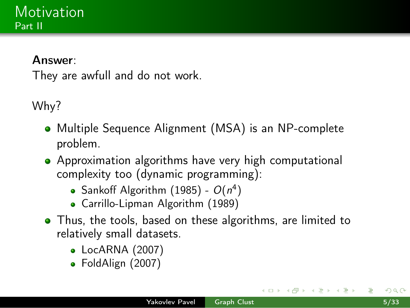### Motivation Part II

#### Answer:

They are awfull and do not work.

Why?

- Multiple Sequence Alignment (MSA) is an NP-complete problem.
- Approximation algorithms have very high computational complexity too (dynamic programming):
	- Sankoff Algorithm (1985)  $O(n^4)$
	- Carrillo-Lipman Algorithm (1989)
- Thus, the tools, based on these algorithms, are limited to relatively small datasets.
	- LocARNA (2007)
	- FoldAlign (2007)

→ 何 ▶ → 臣 ▶ :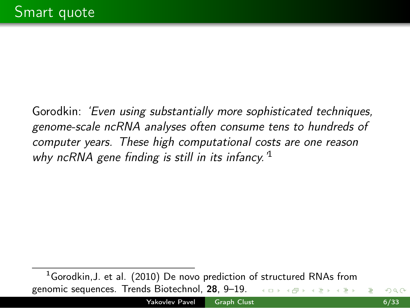Gorodkin: 'Even using substantially more sophisticated techniques, genome-scale ncRNA analyses often consume tens to hundreds of computer years. These high computational costs are one reason why ncRNA gene finding is still in its infancy.<sup>1</sup>

 $1$ Gorodkin, J. et al. (2010) De novo prediction of structured RNAs from genomic sequences. Trends Biotechnol, 28, 9–19. つくい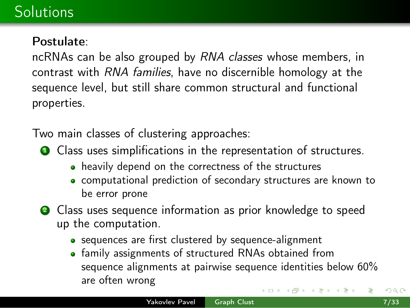# **Solutions**

#### Postulate:

ncRNAs can be also grouped by *RNA classes* whose members, in contrast with RNA families, have no discernible homology at the sequence level, but still share common structural and functional properties.

Two main classes of clustering approaches:

- **1** Class uses simplifications in the representation of structures.
	- heavily depend on the correctness of the structures
	- computational prediction of secondary structures are known to be error prone
- **2** Class uses sequence information as prior knowledge to speed up the computation.
	- sequences are first clustered by sequence-alignment
	- family assignments of structured RNAs obtained from sequence alignments at pairwise sequence identities below 60% are often wrong  $\left\{ \begin{array}{ccc} \square & \rightarrow & \left\{ \bigoplus \right\} & \leftarrow & \left\{ \begin{array}{ccc} \square & \rightarrow & \leftarrow & \square \end{array} \right\} \end{array} \right.$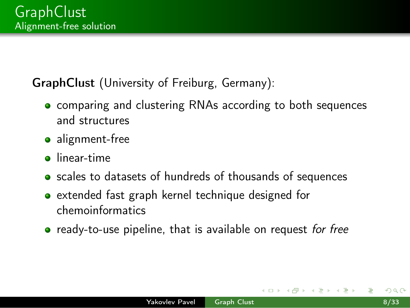### GraphClust (University of Freiburg, Germany):

- comparing and clustering RNAs according to both sequences and structures
- alignment-free
- **o** linear-time
- scales to datasets of hundreds of thousands of sequences
- extended fast graph kernel technique designed for chemoinformatics
- **•** ready-to-use pipeline, that is available on request for free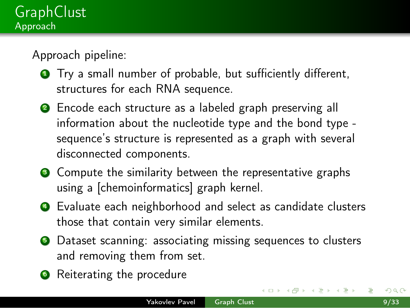Approach pipeline:

- **1** Try a small number of probable, but sufficiently different, structures for each RNA sequence.
- **2** Encode each structure as a labeled graph preserving all information about the nucleotide type and the bond type sequence's structure is represented as a graph with several disconnected components.
- **3** Compute the similarity between the representative graphs using a [chemoinformatics] graph kernel.
- <sup>4</sup> Evaluate each neighborhood and select as candidate clusters those that contain very similar elements.
- **•** Dataset scanning: associating missing sequences to clusters and removing them from set.
- **6** Reiterating the procedure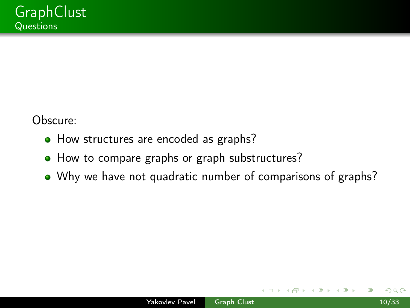Obscure:

- How structures are encoded as graphs?
- How to compare graphs or graph substructures?
- Why we have not quadratic number of comparisons of graphs?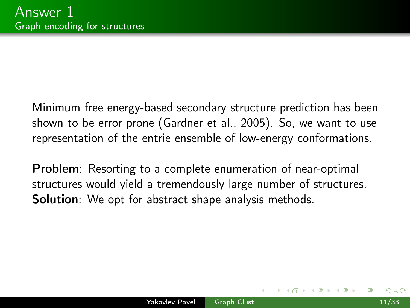Minimum free energy-based secondary structure prediction has been shown to be error prone (Gardner et al., 2005). So, we want to use representation of the entrie ensemble of low-energy conformations.

Problem: Resorting to a complete enumeration of near-optimal structures would yield a tremendously large number of structures. Solution: We opt for abstract shape analysis methods.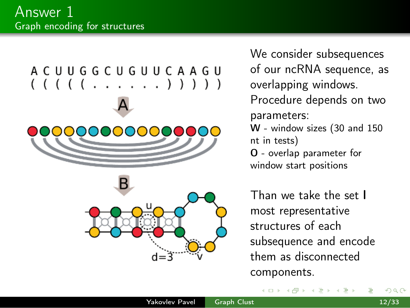



We consider subsequences of our ncRNA sequence, as overlapping windows. Procedure depends on two parameters: W - window sizes (30 and 150 nt in tests) O - overlap parameter for window start positions

Than we take the set l most representative structures of each subsequence and encode them as disconnected components.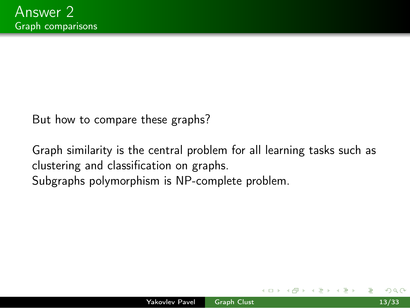But how to compare these graphs?

Graph similarity is the central problem for all learning tasks such as clustering and classification on graphs. Subgraphs polymorphism is NP-complete problem.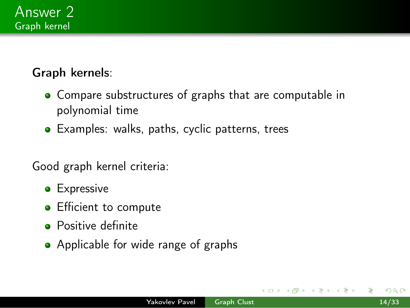

### Graph kernels:

- Compare substructures of graphs that are computable in polynomial time
- Examples: walks, paths, cyclic patterns, trees

Good graph kernel criteria:

- **•** Expressive
- **•** Efficient to compute
- **•** Positive definite
- Applicable for wide range of graphs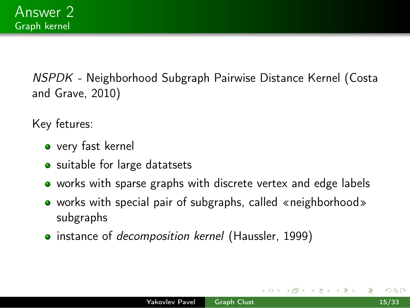NSPDK - Neighborhood Subgraph Pairwise Distance Kernel (Costa and Grave, 2010)

Key fetures:

- very fast kernel
- suitable for large datatsets
- works with sparse graphs with discrete vertex and edge labels
- works with special pair of subgraphs, called «neighborhood» subgraphs
- instance of *decomposition kernel* (Haussler, 1999)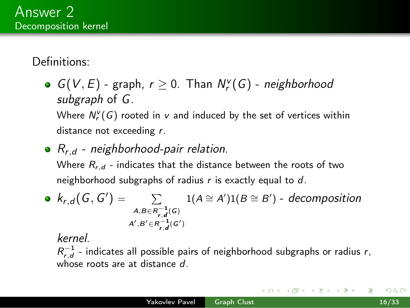Definitions:

 $G(V, E)$  - graph,  $r \geq 0$ . Than  $N_r^V(G)$  - neighborhood subgraph of G.

Where  $N_r^{\nu}(G)$  rooted in  $\nu$  and induced by the set of vertices within distance not exceeding r.

•  $R_{r,d}$  - neighborhood-pair relation.

Where  $R_{r,d}$  - indicates that the distance between the roots of two neighborhood subgraphs of radius  $r$  is exactly equal to  $d$ .

• 
$$
k_{r,d}(G, G') = \sum_{\substack{A, B \in R_{r,d}^{-1}(G) \\ A', B' \in R_{r,d}^{-1}(G')}} 1(A \cong A')1(B \cong B') - decomposition
$$

kernel.

 $R_{r,d}^{-1}$  - indicates all possible pairs of neighborhood subgraphs or radius r, whose roots are at distance d.

- イ伊 ト イラ ト イラト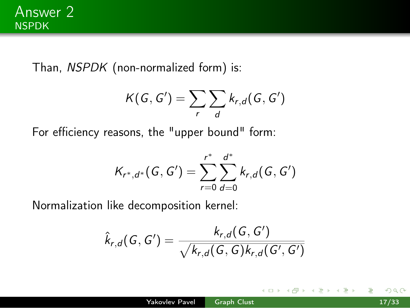Than, NSPDK (non-normalized form) is:

$$
K(G, G') = \sum_{r} \sum_{d} k_{r,d}(G, G')
$$

For efficiency reasons, the "upper bound" form:

$$
K_{r^*,d^*}(G,G')=\sum_{r=0}^{r^*}\sum_{d=0}^{d^*}k_{r,d}(G,G')
$$

Normalization like decomposition kernel:

$$
\hat{k}_{r,d}(G,G')=\frac{k_{r,d}(G,G')}{\sqrt{k_{r,d}(G,G)k_{r,d}(G',G')}}
$$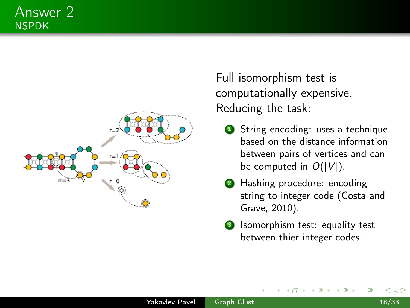#### Answer 2 NSPDK



Full isomorphism test is computationally expensive. Reducing the task:

- **1** String encoding: uses a technique based on the distance information between pairs of vertices and can be computed in  $O(|V|)$ .
- **2** Hashing procedure: encoding string to integer code (Costa and Grave, 2010).
- **3** Isomorphism test: equality test between thier integer codes.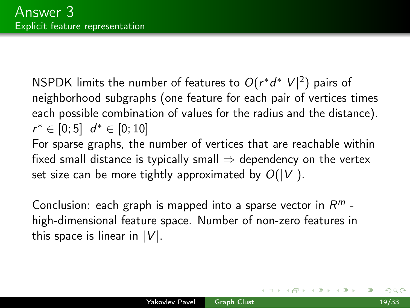<code>NSPDK</code> limits the number of features to  $O(r^*d^* |V|^2)$  pairs of neighborhood subgraphs (one feature for each pair of vertices times each possible combination of values for the radius and the distance).  $r^* \in [0; 5]$   $d^* \in [0; 10]$ For sparse graphs, the number of vertices that are reachable within

fixed small distance is typically small  $\Rightarrow$  dependency on the vertex set size can be more tightly approximated by  $O(|V|)$ .

Conclusion: each graph is mapped into a sparse vector in  $R^m$  high-dimensional feature space. Number of non-zero features in this space is linear in  $|V|$ .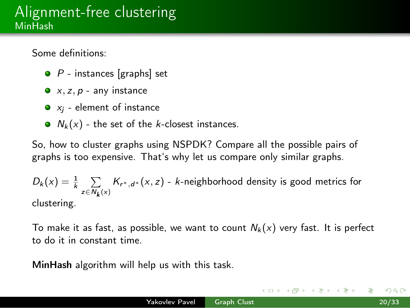Some definitions:

- $\bullet$  P instances [graphs] set
- $\bullet$  x, z, p any instance
- $\bullet$   $x_i$  element of instance
- $N_k(x)$  the set of the k-closest instances.

So, how to cluster graphs using NSPDK? Compare all the possible pairs of graphs is too expensive. That's why let us compare only similar graphs.

$$
D_k(x) = \frac{1}{k} \sum_{z \in N_k(x)} K_{r^*,d^*}(x,z) - k\text{-neighborhood density is good metrics for clustering.}
$$

To make it as fast, as possible, we want to count  $N_k(x)$  very fast. It is perfect to do it in constant time.

<span id="page-19-0"></span>MinHash algorithm will help us with this task.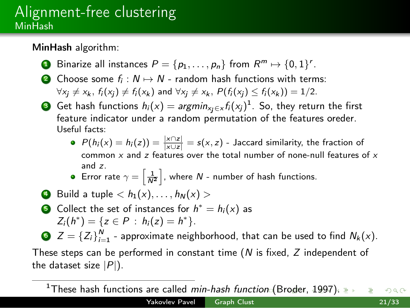### Alignment-free clustering MinHash

MinHash algorithm:

- $\textsf{D}\textsf{ B}$ inarize all instances  $P=\{p_1,\ldots,p_n\}$  from  $R^m\mapsto \{0,1\}^r.$
- **2** Choose some  $f_i$  :  $N$  →  $N$  random hash functions with terms:  $\forall x_i \neq x_k$ ,  $f_i(x_i) \neq f_i(x_k)$  and  $\forall x_i \neq x_k$ ,  $P(f_i(x_i) \leq f_i(x_k)) = 1/2$ .
- Get hash functions  $h_i(x) = argmin_{x_j \in x} f_i(x_j)^1$ . So, they return the first feature indicator under a random permutation of the features oreder. Useful facts:
	- $P(h_i(x) = h_i(z)) = \frac{|x \cap z|}{|x \cup z|} = s(x, z)$  Jaccard similarity, the fraction of common  $x$  and  $z$  features over the total number of none-null features of  $x$ and z.
	- Error rate  $\gamma = \left\lceil \frac{1}{N^2} \right\rceil$ , where N number of hash functions.
- **4** Build a tuple  $\langle h_1(x), \ldots, h_N(x) \rangle$
- Collect the set of instances for  $h^* = h_i(x)$  as  $Z_i(h^*) = \{z \in P : h_i(z) = h^*\}.$

 $\bullet$   $Z=\left\{Z_{i}\right\}_{i=1}^{N}$  - approximate neighborhood, that can be used to find  $N_{k}(x)$ .

These steps can be performed in constant time  $(N \text{ is fixed}, Z \text{ independent of})$ the dataset size  $|P|$ ).

<span id="page-20-0"></span><sup>1</sup>These hash functi[on](#page-19-0)s are called *min-hash function* [\(B](#page-21-0)[ro](#page-19-0)[de](#page-20-0)[r,](#page-21-0) [19](#page-0-0)[97](#page-32-0)[\).](#page-0-0) つくい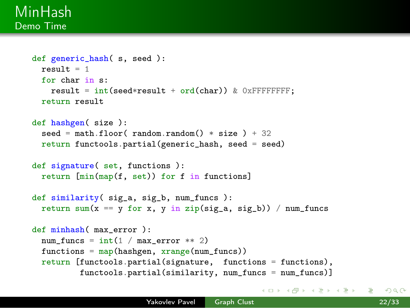#### MinHash Demo Time

```
def generic_hash( s, seed ):
 result = 1for char in s:
   result = int(sed*result + ord(char)) & OXFFFFFFFF;
 return result
def hashgen( size ):
 seed = math.floor( random.random() * size ) + 32
 return functools.partial(generic_hash, seed = seed)
def signature( set, functions ):
 return [min(map(f, set)) for f in functions]
def similarity( sig_a, sig_b, num_funcs ):
 return sum(x == y for x, y in zip(sig_a, sig_b)) / num_funcs
def minhash( max_error ):
 num funcs = int(1 / max error ** 2)functions = map(hashgen, xrange(num_funcs))return [functools.partial(signature, functions = functions),
          functools.partial(similarity, num_funcs = num_funcs)]
```
<span id="page-21-0"></span>イロメ イ母メ イヨメ イヨメ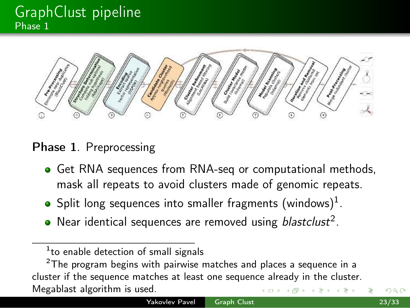# **GraphClust pipeline** Phase 1



Phase 1. Preprocessing

- Get RNA sequences from RNA-seq or computational methods, mask all repeats to avoid clusters made of genomic repeats.
- Split long sequences into smaller fragments (windows) $^1$ .
- Near identical sequences are removed using blastclust<sup>2</sup>.

<sup>&</sup>lt;sup>1</sup>to enable detection of small signals

 $2$ The program begins with pairwise matches and places a sequence in a cluster if the sequence matches at least one sequence already in the cluster. Megablast algorithm is used.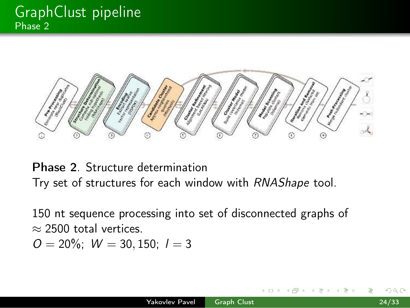

Phase 2. Structure determination Try set of structures for each window with RNAShape tool.

150 nt sequence processing into set of disconnected graphs of  $\approx$  2500 total vertices.

 $O = 20\%$ ;  $W = 30, 150$ ;  $l = 3$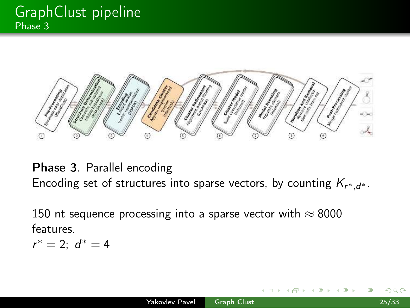

Phase 3. Parallel encoding Encoding set of structures into sparse vectors, by counting  $\mathcal{K}_{r^*,d^*}.$ 

150 nt sequence processing into a sparse vector with  $\approx 8000$ features.

 $r^* = 2$ ;  $d^* = 4$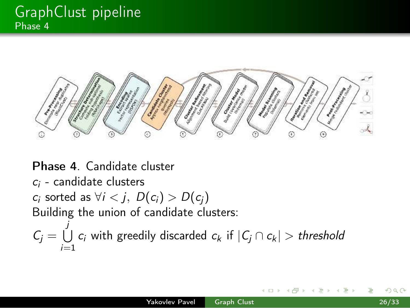

Phase 4. Candidate cluster  $c_i$  - candidate clusters  $c_i$  sorted as  $\forall i < j$ ,  $D(c_i) > D(c_i)$ Building the union of candidate clusters:  $C_j = \bigcup c_i$  with greedily discarded  $c_k$  if  $|C_j \cap c_k| > \text{\emph{threshold}}$ j  $i=1$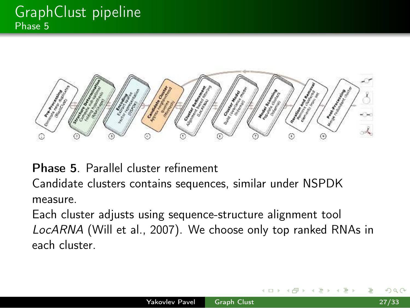

Phase 5. Parallel cluster refinement

Candidate clusters contains sequences, similar under NSPDK measure.

Each cluster adjusts using sequence-structure alignment tool LocARNA (Will et al., 2007). We choose only top ranked RNAs in each cluster.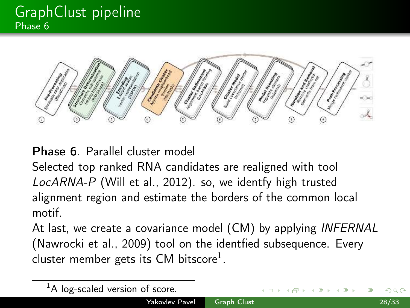# GraphClust pipeline Phase 6



Phase 6. Parallel cluster model

Selected top ranked RNA candidates are realigned with tool LocARNA-P (Will et al., 2012). so, we identfy high trusted alignment region and estimate the borders of the common local motif.

At last, we create a covariance model (CM) by applying INFERNAL (Nawrocki et al., 2009) tool on the identfied subsequence. Every cluster member gets its CM bitscore<sup>1</sup>.

| Yakovley Pavel Graph Clust              |  |  |                                            | 28/33 |  |
|-----------------------------------------|--|--|--------------------------------------------|-------|--|
| ${}^{1}$ A log-scaled version of score. |  |  | - K □ ▶ K @ ▶ K 글 ▶ K 글 ▶ - 글 - K 9 Q (N ) |       |  |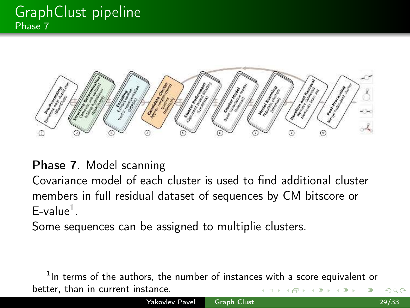

Phase 7. Model scanning

Covariance model of each cluster is used to find additional cluster members in full residual dataset of sequences by CM bitscore or  $E$ -value<sup>1</sup>.

Some sequences can be assigned to multiplie clusters.

<sup>1</sup>In terms of the authors, the number of instances with a score equivalent or better, than in current instance.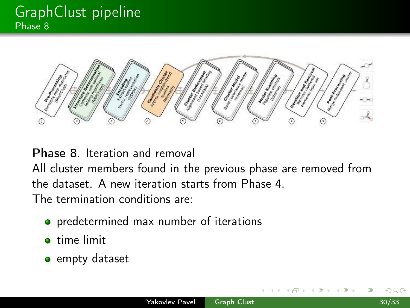# GraphClust pipeline Phase 8



Phase 8. Iteration and removal All cluster members found in the previous phase are removed from the dataset. A new iteration starts from Phase 4. The termination conditions are:

- **•** predetermined max number of iterations
- **o** time limit
- empty dataset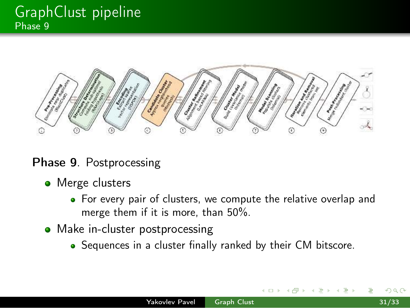# **GraphClust pipeline** Phase 9



#### Phase 9. Postprocessing

- Merge clusters
	- For every pair of clusters, we compute the relative overlap and merge them if it is more, than 50%.
- Make in-cluster postprocessing
	- Sequences in a cluster finally ranked by their CM bitscore.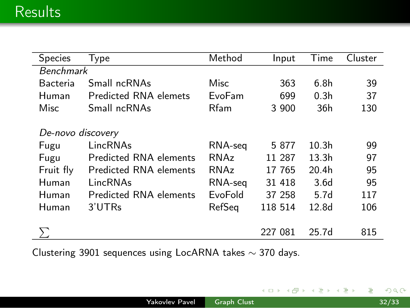| <b>Species</b>    | Type                   | Method  | Input   | Time              | Cluster |  |  |  |  |
|-------------------|------------------------|---------|---------|-------------------|---------|--|--|--|--|
| <b>Benchmark</b>  |                        |         |         |                   |         |  |  |  |  |
| Bacteria          | Small ncRNAs           | Misc    | 363     | 6.8h              | 39      |  |  |  |  |
| Human             | Predicted RNA elemets  | EvoFam  | 699     | 0.3 <sub>h</sub>  | 37      |  |  |  |  |
| Misc              | Small ncRNAs           | Rfam    | 3 900   | 36h               | 130     |  |  |  |  |
| De-novo discovery |                        |         |         |                   |         |  |  |  |  |
| Fugu              | LincRNAs               | RNA-seg | 5 877   | 10.3 <sub>h</sub> | 99      |  |  |  |  |
| Fugu              | Predicted RNA elements | RNAz    | 11 287  | 13.3 <sub>h</sub> | 97      |  |  |  |  |
| Fruit fly         | Predicted RNA elements | RNAz    | 17 765  | 20.4h             | 95      |  |  |  |  |
| Human             | LincRNAs               | RNA-seg | 31 418  | 3.6 <sub>d</sub>  | 95      |  |  |  |  |
| Human             | Predicted RNA elements | EvoFold | 37 258  | 5.7 <sub>d</sub>  | 117     |  |  |  |  |
| Human             | 3'UTRs                 | RefSeg  | 118 514 | 12.8 <sub>d</sub> | 106     |  |  |  |  |
|                   |                        |         | 227 081 | 25.7 <sub>d</sub> | 815     |  |  |  |  |

Clustering 3901 sequences using LocARNA takes ∼ 370 days.

◆ロト→伊ト→毛

 $\mathbf{F} \rightarrow \mathbf{F} \rightarrow \mathbf{F}$ 

Ε